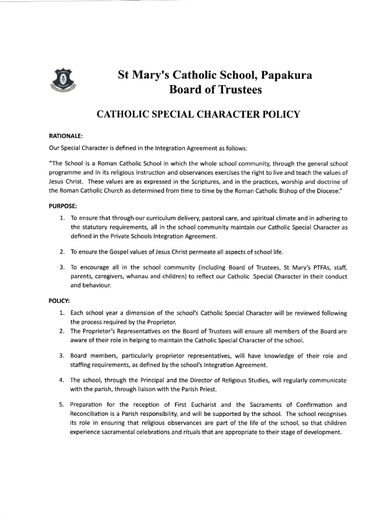

# St Mary's Catholic School, Papakura Board of Trustees

## CATHOLIC SPECIAL CHARACTER POLICY

#### RATIONALE:

Our Special Character is defined in the lntegration Agreement as follows:

"The School is a Roman Catholic School in which the whole school community, through the general school programme and in its religious instruction and observances exercises the right to live and teach the values of Jesus Christ. These values are as expressed in the Scriptures, and in the practices, worship and doctrine of the Roman Catholic Church as determined from time to time by the Roman Catholic Bishop of the Diocese."

#### PURPOSE:

- 1. To ensure that through our curriculum delivery, pastoral care, and spiritual climate and in adhering to the statutory requirements, all in the school community maintain our Catholic Special Character as defined in the Private Schools lntegration Agreement.
- 2. To ensure the Gospel values of Jesus Christ permeate all aspects of school life.
- 3- To encourage all in the school community (including Board of Trustees, 5t Mary's PTFAS, staff, parents, caregivers, whanau and children) to reflect our Catholic Special Character in their conduct and behaviour.

### POLICY:

- L. Each school year a dimension of the school's Catholic Special Character will be reviewed following the process required by the Proprietor.
- 2. The Proprietor's Representatives on the Board of Trustees will ensure all members of the Board are aware of their role in helping to maintain the Catholic Special Character of the school.
- 3. Board members, particularly proprietor representatives, will have knowledge of their role and staffing requirements, as defined by the school's lntegration Agreement.
- 4. The school, through the Principal and the Director of Religious Studies, will regularly communicate with the parish, through liaison with the Parish Priest.
- 5. Preparation for the reception of First Eucharist and the Sacraments of Confirmation and Reconciliation is a Parish responsibility, and will be supported by the school. The school recognises its role in ensuring that religious observances are part of the life of the school, so that children experience sacramental celebrations and rituals that are appropriate to their stage of development.